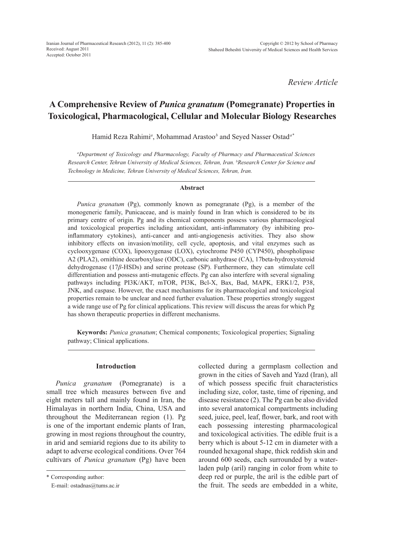*Review Article*

# **A Comprehensive Review of** *Punica granatum* **(Pomegranate) Properties in Toxicological, Pharmacological, Cellular and Molecular Biology Researches**

Hamid Reza Rahimi*<sup>a</sup>* , Mohammad Arastoo*<sup>b</sup>* and Seyed Nasser Ostad*a\**

*a Department of Toxicology and Pharmacology, Faculty of Pharmacy and Pharmaceutical Sciences Research Center, Tehran University of Medical Sciences, Tehran, Iran. b Research Center for Science and Technology in Medicine, Tehran University of Medical Sciences, Tehran, Iran.*

#### **Abstract**

*Punica granatum* (Pg), commonly known as pomegranate (Pg), is a member of the monogeneric family, Punicaceae, and is mainly found in Iran which is considered to be its primary centre of origin. Pg and its chemical components possess various pharmacological and toxicological properties including antioxidant, anti-inflammatory (by inhibiting proinflammatory cytokines), anti-cancer and anti-angiogenesis activities. They also show inhibitory effects on invasion/motility, cell cycle, apoptosis, and vital enzymes such as cyclooxygenase (COX), lipooxygenase (LOX), cytochrome P450 (CYP450), phospholipase A2 (PLA2), ornithine decarboxylase (ODC), carbonic anhydrase (CA), 17beta-hydroxysteroid dehydrogenase (17*β*-HSDs) and serine protease (SP). Furthermore, they can stimulate cell differentiation and possess anti-mutagenic effects. Pg can also interfere with several signaling pathways including PI3K/AKT, mTOR, PI3K, Bcl-X, Bax, Bad, MAPK, ERK1/2, P38, JNK, and caspase. However, the exact mechanisms for its pharmacological and toxicological properties remain to be unclear and need further evaluation. These properties strongly suggest a wide range use of Pg for clinical applications. This review will discuss the areas for which Pg has shown therapeutic properties in different mechanisms.

**Keywords:** *Punica granatum*; Chemical components; Toxicological properties; Signaling pathway; Clinical applications.

#### **Introduction**

*Punica granatum* (Pomegranate) is a small tree which measures between five and eight meters tall and mainly found in Iran, the Himalayas in northern India, China, USA and throughout the Mediterranean region (1). Pg is one of the important endemic plants of Iran, growing in most regions throughout the country, in arid and semiarid regions due to its ability to adapt to adverse ecological conditions. Over 764 cultivars of *Punica granatum* (Pg) have been collected during a germplasm collection and grown in the cities of Saveh and Yazd (Iran), all of which possess specific fruit characteristics including size, color, taste, time of ripening, and disease resistance (2). The Pg can be also divided into several anatomical compartments including seed, juice, peel, leaf, flower, bark, and root with each possessing interesting pharmacological and toxicological activities. The edible fruit is a berry which is about 5-12 cm in diameter with a rounded hexagonal shape, thick reddish skin and around 600 seeds, each surrounded by a waterladen pulp (aril) ranging in color from white to deep red or purple, the aril is the edible part of the fruit. The seeds are embedded in a white,

<sup>\*</sup> Corresponding author:

E-mail: ostadnas@tums.ac.ir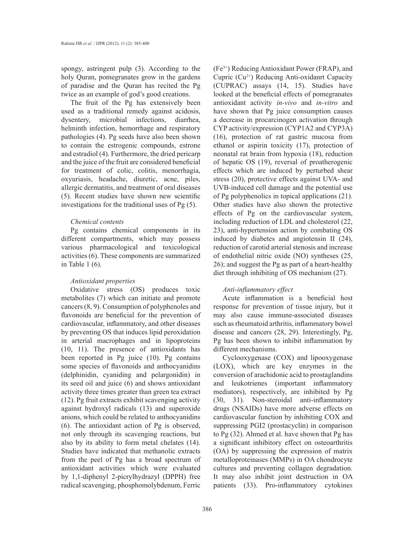spongy, astringent pulp (3). According to the holy Quran, pomegranates grow in the gardens of paradise and the Quran has recited the Pg twice as an example of god's good creations.

The fruit of the Pg has extensively been used as a traditional remedy against acidosis, dysentery, microbial infections, diarrhea, helminth infection, hemorrhage and respiratory pathologies (4). Pg seeds have also been shown to contain the estrogenic compounds, estrone and estradiol (4). Furthermore, the dried pericarp and the juice of the fruit are considered beneficial for treatment of colic, colitis, menorrhagia, oxyuriasis, headache, diuretic, acne, piles, allergic dermatitis, and treatment of oral diseases (5). Recent studies have shown new scientific investigations for the traditional uses of Pg (5).

### *Chemical contents*

Pg contains chemical components in its different compartments, which may possess various pharmacological and toxicological activities (6). These components are summarized in Table 1 (6).

#### *Antioxidant properties*

Oxidative stress (OS) produces toxic metabolites (7) which can initiate and promote cancers (8, 9). Consumption of polyphenoles and flavonoids are beneficial for the prevention of cardiovascular, inflammatory, and other diseases by preventing OS that induces lipid peroxidation in arterial macrophages and in lipoproteins (10, 11). The presence of antioxidants has been reported in Pg juice (10). Pg contains some species of flavonoids and anthocyanidins (delphinidin, cyaniding and pelargonidin) in its seed oil and juice (6) and shows antioxidant activity three times greater than green tea extract (12). Pg fruit extracts exhibit scavenging activity against hydroxyl radicals (13) and superoxide anions, which could be related to anthocyanidins (6). The antioxidant action of Pg is observed, not only through its scavenging reactions, but also by its ability to form metal chelates (14). Studies have indicated that methanolic extracts from the peel of Pg has a broad spectrum of antioxidant activities which were evaluated by 1,1-diphenyl 2-picrylhydrazyl (DPPH) free radical scavenging, phosphomolybdenum, Ferric

(Fe3+) Reducing Antioxidant Power (FRAP), and Cupric  $(Cu^{2+})$  Reducing Anti-oxidant Capacity (CUPRAC) assays (14, 15). Studies have looked at the beneficial effects of pomegranates antioxidant activity *in-vivo* and *in-vitro* and have shown that Pg juice consumption causes a decrease in procarcinogen activation through CYP activity/expression (CYP1A2 and CYP3A) (16), protection of rat gastric mucosa from ethanol or aspirin toxicity (17), protection of neonatal rat brain from hypoxia (18), reduction of hepatic OS (19), reversal of proatherogenic effects which are induced by perturbed shear stress (20), protective effects against UVA- and UVB-induced cell damage and the potential use of Pg polyphenolics in topical applications (21). Other studies have also shown the protective effects of Pg on the cardiovascular system, including reduction of LDL and cholesterol (22, 23), anti-hypertension action by combating OS induced by diabetes and angiotensin II (24), reduction of carotid arterial stenosis and increase of endothelial nitric oxide (NO) syntheses (25, 26); and suggest the Pg as part of a heart-healthy diet through inhibiting of OS mechanism (27).

# *Anti-inflammatory effect*

Acute inflammation is a beneficial host response for prevention of tissue injury, but it may also cause immune-associated diseases such as rheumatoid arthritis, inflammatory bowel disease and cancers (28, 29). Interestingly, Pg, Pg has been shown to inhibit inflammation by different mechanisms.

Cyclooxygenase (COX) and lipooxygenase (LOX), which are key enzymes in the conversion of arachidonic acid to prostaglandins and leukotrienes (important inflammatory mediators), respectively, are inhibited by Pg (30, 31). Non-steroidal anti-inflammatory drugs (NSAIDs) have more adverse effects on cardiovascular function by inhibiting COX and suppressing PGI2 (prostacyclin) in comparison to Pg (32). Ahmed et al. have shown that Pg has a significant inhibitory effect on osteoarthritis (OA) by suppressing the expression of matrix metalloproteinases (MMPs) in OA chondrocyte cultures and preventing collagen degradation. It may also inhibit joint destruction in OA patients (33). Pro-inflammatory cytokines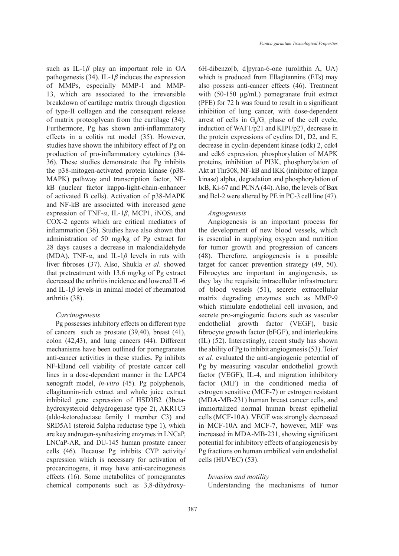such as IL-1*β* play an important role in OA pathogenesis (34). IL-1 $\beta$  induces the expression of MMPs, especially MMP-1 and MMP-13, which are associated to the irreversible breakdown of cartilage matrix through digestion of type-II collagen and the consequent release of matrix proteoglycan from the cartilage (34). Furthermore, Pg has shown anti-inflammatory effects in a colitis rat model (35). However, studies have shown the inhibitory effect of Pg on production of pro-inflammatory cytokines (34- 36). These studies demonstrate that Pg inhibits the p38-mitogen-activated protein kinase (p38- MAPK) pathway and transcription factor, NFkB (nuclear factor kappa-light-chain-enhancer of activated B cells). Activation of p38-MAPK and NF-kB are associated with increased gene expression of TNF-*α*, IL-1*β*, MCP1, iNOS, and COX-2 agents which are critical mediators of inflammation (36). Studies have also shown that administration of 50 mg/kg of Pg extract for 28 days causes a decrease in malondialdehyde (MDA), TNF-*α*, and IL-1*β* levels in rats with liver fibroses (37). Also, Shukla *et al*. showed that pretreatment with 13.6 mg/kg of Pg extract decreased the arthritis incidence and lowered IL-6 and IL-1*β* levels in animal model of rheumatoid arthritis (38).

#### *Carcinogenesis*

Pg possesses inhibitory effects on different type of cancers such as prostate (39,40), breast (41), colon (42,43), and lung cancers (44). Different mechanisms have been outlined for pomegranates anti-cancer activities in these studies. Pg inhibits NF-kBand cell viability of prostate cancer cell lines in a dose-dependent manner in the LAPC4 xenograft model, *in-vitro* (45). Pg polyphenols, ellagitannin-rich extract and whole juice extract inhibited gene expression of HSD3B2 (3betahydroxysteroid dehydrogenase type 2), AKR1C3 (aldo-ketoreductase family 1 member C3) and SRD5A1 (steroid 5alpha reductase type 1), which are key androgen-synthesizing enzymes in LNCaP, LNCaP-AR, and DU-145 human prostate cancer cells (46). Because Pg inhibits CYP activity/ expression which is necessary for activation of procarcinogens, it may have anti-carcinogenesis effects (16). Some metabolites of pomegranates chemical components such as 3,8-dihydroxy6H-dibenzo[b, d]pyran-6-one (urolithin A, UA) which is produced from Ellagitannins (ETs) may also possess anti-cancer effects (46). Treatment with (50-150 μg/mL) pomegranate fruit extract (PFE) for 72 h was found to result in a significant inhibition of lung cancer, with dose-dependent arrest of cells in  $G_0/G_1$  phase of the cell cycle, induction of WAF1/p21 and KIP1/p27, decrease in the protein expressions of cyclins D1, D2, and E, decrease in cyclin-dependent kinase (cdk) 2, cdk4 and cdk6 expression, phosphorylation of MAPK proteins, inhibition of PI3K, phosphorylation of Akt at Thr308, NF-kB and IKK (inhibitor of kappa kinase) alpha, degradation and phosphorylation of IκB, Ki-67 and PCNA (44). Also, the levels of Bax and Bcl-2 were altered by PE in PC-3 cell line (47).

#### *Angiogenesis*

Angiogenesis is an important process for the development of new blood vessels, which is essential in supplying oxygen and nutrition for tumor growth and progression of cancers (48). Therefore, angiogenesis is a possible target for cancer prevention strategy (49, 50). Fibrocytes are important in angiogenesis, as they lay the requisite intracellular infrastructure of blood vessels (51), secrete extracellular matrix degrading enzymes such as MMP-9 which stimulate endothelial cell invasion, and secrete pro-angiogenic factors such as vascular endothelial growth factor (VEGF), basic fibrocyte growth factor (bFGF), and interleukins (IL) (52). Interestingly, recent study has shown the ability of Pg to inhibit angiogenesis (53). Toi*et et al.* evaluated the anti-angiogenic potential of Pg by measuring vascular endothelial growth factor (VEGF), IL-4, and migration inhibitory factor (MIF) in the conditioned media of estrogen sensitive (MCF-7) or estrogen resistant (MDA-MB-231) human breast cancer cells, and immortalized normal human breast epithelial cells (MCF-10A). VEGF was strongly decreased in MCF-10A and MCF-7, however, MIF was increased in MDA-MB-231, showing significant potential for inhibitory effects of angiogenesis by Pg fractions on human umbilical vein endothelial cells (HUVEC) (53).

#### *Invasion and motility*

Understanding the mechanisms of tumor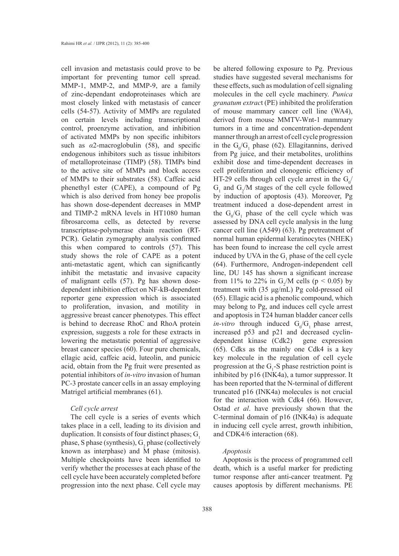cell invasion and metastasis could prove to be important for preventing tumor cell spread. MMP-1, MMP-2, and MMP-9, are a family of zinc-dependant endoproteinases which are most closely linked with metastasis of cancer cells (54-57). Activity of MMPs are regulated on certain levels including transcriptional control, proenzyme activation, and inhibition of activated MMPs by non specific inhibitors such as  $\alpha$ 2-macroglobulin (58), and specific endogenous inhibitors such as tissue inhibitors of metalloproteinase (TIMP) (58). TIMPs bind to the active site of MMPs and block access of MMPs to their substrates (58). Caffeic acid phenethyl ester (CAPE), a compound of Pg which is also derived from honey bee propolis has shown dose-dependent decreases in MMP and TIMP-2 mRNA levels in HT1080 human fibrosarcoma cells, as detected by reverse transcriptase-polymerase chain reaction (RT-PCR). Gelatin zymography analysis confirmed this when compared to controls (57). This study shows the role of CAPE as a potent anti-metastatic agent, which can significantly inhibit the metastatic and invasive capacity of malignant cells (57). Pg has shown dosedependent inhibition effect on NF-kB-dependent reporter gene expression which is associated to proliferation, invasion, and motility in aggressive breast cancer phenotypes. This effect is behind to decrease RhoC and RhoA protein expression, suggests a role for these extracts in lowering the metastatic potential of aggressive breast cancer species (60). Four pure chemicals, ellagic acid, caffeic acid, luteolin, and punicic acid, obtain from the Pg fruit were presented as potential inhibitors of *in-vitro* invasion of human PC-3 prostate cancer cells in an assay employing Matrigel artificial membranes (61).

#### *Cell cycle arrest*

The cell cycle is a series of events which takes place in a cell, leading to its division and duplication. It consists of four distinct phases;  $G_1$ phase, S phase (synthesis),  $G_2$  phase (collectively known as interphase) and M phase (mitosis). Multiple checkpoints have been identified to verify whether the processes at each phase of the cell cycle have been accurately completed before progression into the next phase. Cell cycle may

be altered following exposure to Pg. Previous studies have suggested several mechanisms for these effects, such as modulation of cell signaling molecules in the cell cycle machinery. *Punica granatum extrac*t (PE) inhibited the proliferation of mouse mammary cancer cell line (WA4), derived from mouse MMTV-Wnt-1 mammary tumors in a time and concentration-dependent manner through an arrest of cell cycle progression in the  $G_0/G_1$  phase (62). Ellagitannins, derived from Pg juice, and their metabolites, urolithins exhibit dose and time-dependent decreases in cell proliferation and clonogenic efficiency of HT-29 cells through cell cycle arrest in the  $G_0$ /  $G_1$  and  $G_2/M$  stages of the cell cycle followed by induction of apoptosis (43). Moreover, Pg treatment induced a dose-dependent arrest in the  $G_0/G_1$  phase of the cell cycle which was assessed by DNA cell cycle analysis in the lung cancer cell line (A549) (63). Pg pretreatment of normal human epidermal keratinocytes (NHEK) has been found to increase the cell cycle arrest induced by UVA in the  $G_1$  phase of the cell cycle (64). Furthermore, Androgen-independent cell line, DU 145 has shown a significant increase from 11% to 22% in  $G_2/M$  cells ( $p < 0.05$ ) by treatment with (35 μg/mL) Pg cold-pressed oil (65). Ellagic acid is a phenolic compound, which may belong to Pg, and induces cell cycle arrest and apoptosis in T24 human bladder cancer cells *in-vitro* through induced  $G_0/G_1$  phase arrest, increased p53 and p21 and decreased cyclindependent kinase (Cdk2) gene expression (65). Cdks as the mainly one Cdk4 is a key key molecule in the regulation of cell cycle progression at the  $G_1$ -S phase restriction point is inhibited by p16 (INK4a), a tumor suppressor. It has been reported that the N-terminal of different truncated p16 (INK4a) molecules is not crucial for the interaction with Cdk4 (66). However, Ostad *et al*. have previously shown that the C-terminal domain of p16 (INK4a) is adequate in inducing cell cycle arrest, growth inhibition, and CDK4/6 interaction (68).

#### *Apoptosis*

Apoptosis is the process of programmed cell death, which is a useful marker for predicting tumor response after anti-cancer treatment. Pg causes apoptosis by different mechanisms. PE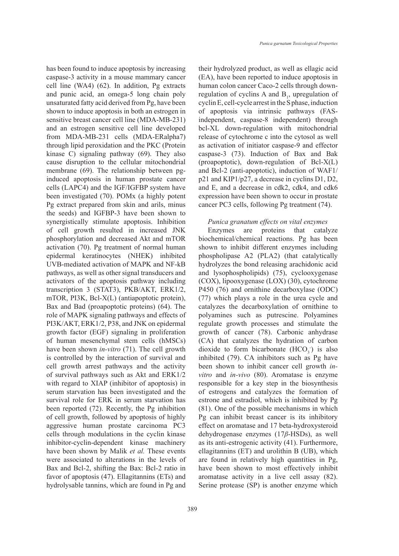has been found to induce apoptosis by increasing caspase-3 activity in a mouse mammary cancer cell line (WA4) (62). In addition, Pg extracts and punic acid, an omega-5 long chain poly unsaturated fatty acid derived from Pg, have been shown to induce apoptosis in both an estrogen in sensitive breast cancer cell line (MDA-MB-231) and an estrogen sensitive cell line developed from MDA-MB-231 cells (MDA-ERalpha7) through lipid peroxidation and the PKC (Protein kinase C) signaling pathway (69). They also cause disruption to the cellular mitochondrial membrane (69). The relationship between pginduced apoptosis in human prostate cancer cells (LAPC4) and the IGF/IGFBP system have been investigated (70). POMx (a highly potent Pg extract prepared from skin and arils, minus the seeds) and IGFBP-3 have been shown to synergistically stimulate apoptosis. Inhibition of cell growth resulted in increased JNK phosphorylation and decreased Akt and mTOR activation (70). Pg treatment of normal human epidermal keratinocytes (NHEK) inhibited UVB-mediated activation of MAPK and NF-kB pathways, as well as other signal transducers and activators of the apoptosis pathway including transcription 3 (STAT3), PKB/AKT, ERK1/2, mTOR, PI3K, Bcl-X(L) (antiapoptotic protein), Bax and Bad (proapoptotic proteins) (64). The role of MAPK signaling pathways and effects of PI3K/AKT, ERK1/2, P38, and JNK on epidermal growth factor (EGF) signaling in proliferation of human mesenchymal stem cells (hMSCs) have been shown *in-vitro* (71). The cell growth is controlled by the interaction of survival and cell growth arrest pathways and the activity of survival pathways such as Akt and ERK1/2 with regard to XIAP (inhibitor of apoptosis) in serum starvation has been investigated and the survival role for ERK in serum starvation has been reported (72). Recently, the Pg inhibition of cell growth, followed by apoptosis of highly aggressive human prostate carcinoma PC3 cells through modulations in the cyclin kinase inhibitor-cyclin-dependent kinase machinery have been shown by Malik *et al.* These events were associated to alterations in the levels of Bax and Bcl-2, shifting the Bax: Bcl-2 ratio in favor of apoptosis (47). Ellagitannins (ETs) and hydrolysable tannins, which are found in Pg and

their hydrolyzed product, as well as ellagic acid (EA), have been reported to induce apoptosis in human colon cancer Caco-2 cells through downregulation of cyclins A and  $B<sub>1</sub>$ , upregulation of cyclin E, cell-cycle arrest in the S phase, induction of apoptosis via intrinsic pathways (FASindependent, caspase-8 independent) through bcl-XL down-regulation with mitochondrial release of cytochrome c into the cytosol as well as activation of initiator caspase-9 and effector caspase-3 (73). Induction of Bax and Bak (proapoptotic), down-regulation of Bcl-X(L) and Bcl-2 (anti-apoptotic), induction of WAF1/ p21 and KIP1/p27, a decrease in cyclins D1, D2, and E, and a decrease in cdk2, cdk4, and cdk6 expression have been shown to occur in prostate cancer PC3 cells, following Pg treatment (74).

## *Punica granatum effects on vital enzymes*

Enzymes are proteins that catalyze biochemical/chemical reactions. Pg has been shown to inhibit different enzymes including phospholipase A2 (PLA2) (that catalytically hydrolyzes the bond releasing arachidonic acid and lysophospholipids) (75), cyclooxygenase (COX), lipooxygenase (LOX) (30), cytochrome P450 (76) and ornithine decarboxylase (ODC) (77) which plays a role in the urea cycle and catalyzes the decarboxylation of ornithine to polyamines such as putrescine. Polyamines regulate growth processes and stimulate the growth of cancer (78). Carbonic anhydrase (CA) that catalyzes the hydration of carbon dioxide to form bicarbonate  $(HCO<sub>3</sub>)$  is also inhibited (79). CA inhibitors such as Pg have been shown to inhibit cancer cell growth *invitro* and *in-vivo* (80). Aromatase is enzyme responsible for a key step in the biosynthesis of estrogens and catalyzes the formation of estrone and estradiol, which is inhibited by Pg (81). One of the possible mechanisms in which Pg can inhibit breast cancer is its inhibitory effect on aromatase and 17 beta-hydroxysteroid dehydrogenase enzymes (17*β*-HSDs), as well as its anti-estrogenic activity (41). Furthermore, ellagitannins (ET) and urolithin B (UB), which are found in relatively high quantities in Pg, have been shown to most effectively inhibit aromatase activity in a live cell assay (82). Serine protease (SP) is another enzyme which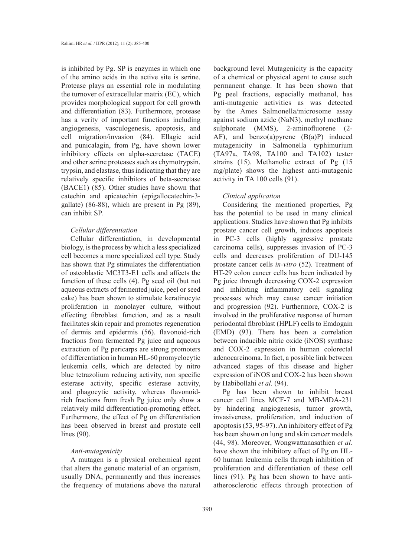is inhibited by Pg. SP is enzymes in which one of the amino acids in the active site is serine. Protease plays an essential role in modulating the turnover of extracellular matrix (EC), which provides morphological support for cell growth and differentiation (83). Furthermore, protease has a verity of important functions including angiogenesis, vasculogenesis, apoptosis, and cell migration/invasion (84). Ellagic acid and punicalagin, from Pg, have shown lower inhibitory effects on alpha-secretase (TACE) and other serine proteases such as chymotrypsin, trypsin, and elastase, thus indicating that they are relatively specific inhibitors of beta-secretase (BACE1) (85). Other studies have shown that catechin and epicatechin (epigallocatechin-3 gallate) (86-88), which are present in Pg (89), can inhibit SP.

# *Cellular differentiation*

Cellular differentiation, in developmental biology, is the process by which a less specialized cell becomes a more specialized cell type. Study has shown that Pg stimulates the differentiation of osteoblastic MC3T3-E1 cells and affects the function of these cells (4). Pg seed oil (but not aqueous extracts of fermented juice, peel or seed cake) has been shown to stimulate keratinocyte proliferation in monolayer culture, without effecting fibroblast function, and as a result facilitates skin repair and promotes regeneration of dermis and epidermis (56). flavonoid-rich fractions from fermented Pg juice and aqueous extraction of Pg pericarps are strong promoters of differentiation in human HL-60 promyelocytic leukemia cells, which are detected by nitro blue tetrazolium reducing activity, non specific esterase activity, specific esterase activity, and phagocytic activity, whereas flavonoidrich fractions from fresh Pg juice only show a relatively mild differentiation-promoting effect. Furthermore, the effect of Pg on differentiation has been observed in breast and prostate cell lines (90).

## *Anti-mutagenicity*

A mutagen is a physical orchemical agent that alters the genetic material of an organism, usually DNA, permanently and thus increases the frequency of mutations above the natural

background level Mutagenicity is the capacity of a chemical or physical agent to cause such permanent change. It has been shown that Pg peel fractions, especially methanol, has anti-mutagenic activities as was detected by the Ames Salmonella/microsome assay against sodium azide (NaN3), methyl methane sulphonate (MMS), 2-aminofluorene (2- AF), and benzo(a) pyrene  $(B(a)P)$  induced mutagenicity in Salmonella typhimurium (TA97a, TA98, TA100 and TA102) tester strains (15). Methanolic extract of Pg (15 mg/plate) shows the highest anti-mutagenic activity in TA 100 cells (91).

### *Clinical application*

Considering the mentioned properties, Pg has the potential to be used in many clinical applications. Studies have shown that Pg inhibits prostate cancer cell growth, induces apoptosis in PC-3 cells (highly aggressive prostate carcinoma cells), suppresses invasion of PC-3 cells and decreases proliferation of DU-145 prostate cancer cells *in-vitro* (52). Treatment of HT-29 colon cancer cells has been indicated by Pg juice through decreasing COX-2 expression and inhibiting inflammatory cell signaling processes which may cause cancer initiation and progression (92). Furthermore, COX-2 is involved in the proliferative response of human periodontal fibroblast (HPLF) cells to Emdogain (EMD) (93). There has been a correlation between inducible nitric oxide (iNOS) synthase and COX-2 expression in human colorectal adenocarcinoma. In fact, a possible link between advanced stages of this disease and higher expression of iNOS and COX-2 has been shown by Habibollahi *et al.* (94).

Pg has been shown to inhibit breast cancer cell lines MCF-7 and MB-MDA-231 by hindering angiogenesis, tumor growth, invasiveness, proliferation, and induction of apoptosis (53, 95-97). An inhibitory effect of Pg has been shown on lung and skin cancer models (44, 98). Moreover, Wongwattanasathien *et al.* have shown the inhibitory effect of Pg on HL-60 human leukemia cells through inhibition of proliferation and differentiation of these cell lines (91). Pg has been shown to have antiatherosclerotic effects through protection of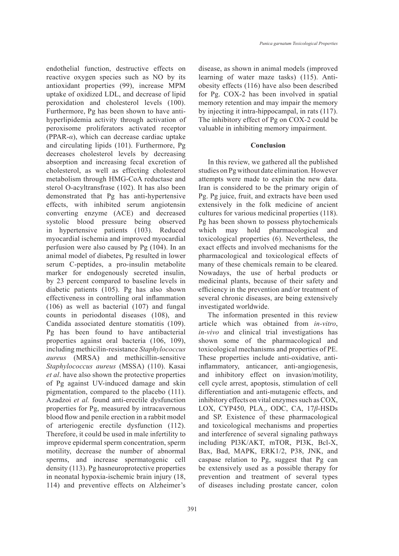endothelial function, destructive effects on reactive oxygen species such as NO by its antioxidant properties (99), increase MPM uptake of oxidized LDL, and decrease of lipid peroxidation and cholesterol levels (100). Furthermore, Pg has been shown to have antihyperlipidemia activity through activation of peroxisome proliferators activated receptor (PPAR-*α*), which can decrease cardiac uptake and circulating lipids (101). Furthermore, Pg decreases cholesterol levels by decreasing absorption and increasing fecal excretion of cholesterol, as well as effecting cholesterol metabolism through HMG-CoA reductase and sterol O-acyltransfrase (102). It has also been demonstrated that Pg has anti-hypertensive effects, with inhibited serum angiotensin converting enzyme (ACE) and decreased systolic blood pressure being observed in hypertensive patients (103). Reduced myocardial ischemia and improved myocardial perfusion were also caused by Pg (104). In an animal model of diabetes, Pg resulted in lower serum C-peptides, a pro-insulin metabolite marker for endogenously secreted insulin, by 23 percent compared to baseline levels in diabetic patients (105). Pg has also shown effectiveness in controlling oral inflammation (106) as well as bacterial (107) and fungal counts in periodontal diseases (108), and Candida associated denture stomatitis (109). Pg has been found to have antibacterial properties against oral bacteria (106, 109), including methicilin-resistance *Staphylococcus aureus* (MRSA) and methicillin-sensitive *Staphylococcus aureus* (MSSA) (110). Kasai *et al*. have also shown the protective properties of Pg against UV-induced damage and skin pigmentation, compared to the placebo (111). Azadzoi *et al.* found anti-erectile dysfunction properties for Pg, measured by intracavernous blood flow and penile erection in a rabbit model of arteriogenic erectile dysfunction (112). Therefore, it could be used in male infertility to improve epidermal sperm concentration, sperm motility, decrease the number of abnormal sperms, and increase spermatogenic cell density (113). Pg hasneuroprotective properties in neonatal hypoxia-ischemic brain injury (18, 114) and preventive effects on Alzheimer's

disease, as shown in animal models (improved learning of water maze tasks) (115). Antiobesity effects (116) have also been described for Pg. COX-2 has been involved in spatial memory retention and may impair the memory by injecting it intra-hippocampal, in rats (117). The inhibitory effect of Pg on COX-2 could be valuable in inhibiting memory impairment.

## **Conclusion**

In this review, we gathered all the published studies on Pg without date elimination. However attempts were made to explain the new data. Iran is considered to be the primary origin of Pg. Pg juice, fruit, and extracts have been used extensively in the folk medicine of ancient cultures for various medicinal properties (118). Pg has been shown to possess phytochemicals which may hold pharmacological and toxicological properties (6). Nevertheless, the exact effects and involved mechanisms for the pharmacological and toxicological effects of many of these chemicals remain to be cleared. Nowadays, the use of herbal products or medicinal plants, because of their safety and efficiency in the prevention and/or treatment of several chronic diseases, are being extensively investigated worldwide.

The information presented in this review article which was obtained from *in-vitro*, *in-vivo* and clinical trial investigations has shown some of the pharmacological and toxicological mechanisms and properties of PE. These properties include anti-oxidative, antiinflammatory, anticancer, anti-angiogenesis, and inhibitory effect on invasion/motility, cell cycle arrest, apoptosis, stimulation of cell differentiation and anti-mutagenic effects, and inhibitory effects on vital enzymes such as COX, LOX, CYP450, PLA<sub>2</sub>, ODC, CA, 17β-HSDs and SP. Existence of these pharmacological and toxicological mechanisms and properties and interference of several signaling pathways including PI3K/AKT, mTOR, PI3K, Bcl-X, Bax, Bad, MAPK, ERK1/2, P38, JNK, and caspase relation to Pg, suggest that Pg can be extensively used as a possible therapy for prevention and treatment of several types of diseases including prostate cancer, colon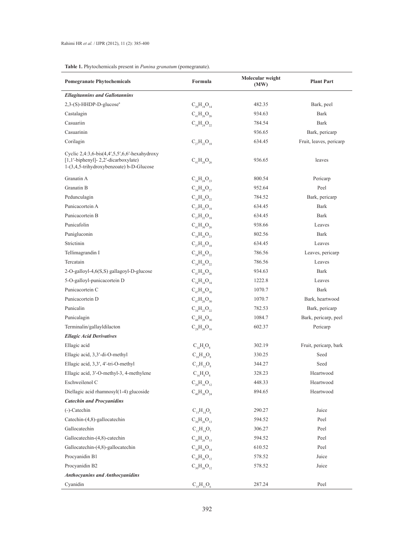# **Table 1.** Phytochemicals present in *Punina granatum* (pomegranate).

| <b>Pomegranate Phytochemicals</b>                                                                                                          | Formula                           | Molecular weight<br>(MW) | <b>Plant Part</b>       |
|--------------------------------------------------------------------------------------------------------------------------------------------|-----------------------------------|--------------------------|-------------------------|
| <b>Ellagitannins and Gallotannins</b>                                                                                                      |                                   |                          |                         |
| $2,3-(S)$ -HHDP-D-glucose <sup>a</sup>                                                                                                     | $C_{20}H_{18}O_{14}$              | 482.35                   | Bark, peel              |
| Castalagin                                                                                                                                 | $C_{41}H_{26}O_{26}$              | 934.63                   | Bark                    |
| Casuariin                                                                                                                                  | $C_{34}H_{24}O_{22}$              | 784.54                   | Bark                    |
| Casuarinin                                                                                                                                 |                                   | 936.65                   | Bark, pericarp          |
| Corilagin                                                                                                                                  | $C_{27}H_{22}O_{18}$              | 634.45                   | Fruit, leaves, pericarp |
| Cyclic $2,4:3,6$ -bis $(4,4',5,5',6,6'$ -hexahydroxy<br>$[1,1'-bipheny]$ - 2,2'-dicarboxylate)<br>1-(3,4,5-trihydroxybenzoate) b-D-Glucose | $C_{41}H_{28}O_{26}$              | 936.65                   | leaves                  |
| Granatin A                                                                                                                                 | $C_{34}H_{24}O_{23}$              | 800.54                   | Pericarp                |
| Granatin B                                                                                                                                 | $C_{34}H_{28}O_{27}$              | 952.64                   | Peel                    |
| Pedunculagin                                                                                                                               | $C_{34}H_{24}O_{22}$              | 784.52                   | Bark, pericarp          |
| Punicacortein A                                                                                                                            | $C_{27}H_{22}O_{18}$              | 634.45                   | Bark                    |
| Punicacortein B                                                                                                                            | $C_{27}H_{22}O_{18}$              | 634.45                   | Bark                    |
| Punicafolin                                                                                                                                | $C_{41}H_{30}O_{26}$              | 938.66                   | Leaves                  |
| Punigluconin                                                                                                                               | $C_{34}H_{26}O_{23}$              | 802.56                   | Bark                    |
| Strictinin                                                                                                                                 | $C_{27}H_{22}O_{18}$              | 634.45                   | Leaves                  |
| Tellimagrandin I                                                                                                                           | $\mathrm{C_{14}H_{26}O_{22}}$     | 786.56                   | Leaves, pericarp        |
| Tercatain                                                                                                                                  | $C_{34}H_{26}O_{22}$              | 786.56                   | Leaves                  |
| 2-O-galloyl-4,6(S,S) gallagoyl-D-glucose                                                                                                   | $C_{41}H_{26}O_{26}$              | 934.63                   | Bark                    |
| 5-O-galloyl-punicacortein D                                                                                                                | $C_{54}H_{34}O_{34}$              | 1222.8                   | Leaves                  |
| Punicacortein C                                                                                                                            | $C_{47}H_{26}O_{30}$              | 1070.7                   | <b>Bark</b>             |
| Punicacortein D                                                                                                                            | $C_{47}H_{26}O_{30}$              | 1070.7                   | Bark, heartwood         |
| Punicalin                                                                                                                                  | $C_{34}H_{22}O_{22}$              | 782.53                   | Bark, pericarp          |
| Punicalagin                                                                                                                                | $C_{48}H_{28}O_{30}$              | 1084.7                   | Bark, pericarp, peel    |
| Terminalin/gallayldilacton                                                                                                                 | $C_{28}H_{20}O_{16}$              | 602.37                   | Pericarp                |
| <b>Ellagic Acid Derivatives</b>                                                                                                            |                                   |                          |                         |
| Ellagic acid                                                                                                                               | $C_{14}H_6O_8$                    | 302.19                   | Fruit, pericarp, bark   |
| Ellagic acid, 3,3'-di-O-methyl                                                                                                             | $C_{16}H_{10}O_8$                 | 330.25                   | Seed                    |
| Ellagic acid, 3,3', 4'-tri-O-methyl                                                                                                        | $C_{17}H_{12}O_8$                 | 344.27                   | Seed                    |
| Ellagic acid, 3'-O-methyl-3, 4-methylene                                                                                                   | $C_{16}H_8O_8$                    | 328.23                   | Heartwood               |
| Eschweilenol C                                                                                                                             | $C_{20}H_{16}O_{12}$              | 448.33                   | Heartwood               |
| Diellagic acid rhamnosyl(1-4) glucoside                                                                                                    | $C_{40}H_{30}O_{24}$              | 894.65                   | Heartwood               |
| <b>Catechin and Procyanidins</b>                                                                                                           |                                   |                          |                         |
| $(-)$ -Catechin                                                                                                                            | $C_{15}H_{14}O_6$                 | 290.27                   | Juice                   |
| Catechin-(4,8)-gallocatechin                                                                                                               | $\rm C^{}_{30}H^{}_{26}O^{}_{13}$ | 594.52                   | Peel                    |
| Gallocatechin                                                                                                                              | $C_{15}H_{14}O_7$                 | 306.27                   | Peel                    |
| Gallocatechin-(4,8)-catechin                                                                                                               | $C_{30}H_{26}O_{13}$              | 594.52                   | Peel                    |
| Gallocatechin-(4,8)-gallocatechin                                                                                                          | $C_{30}H_{26}O_{14}$              | 610.52                   | Peel                    |
| Procyanidin B1                                                                                                                             | $C_{30}H_{26}O_{12}$              | 578.52                   | Juice                   |
| Procyanidin B2                                                                                                                             | $C_{30}H_{26}O_{12}$              | 578.52                   | Juice                   |
| <b>Anthocyanins and Anthocyanidins</b>                                                                                                     |                                   |                          |                         |
| Cyanidin                                                                                                                                   | $C_{15}H_{11}O_6$                 | 287.24                   | Peel                    |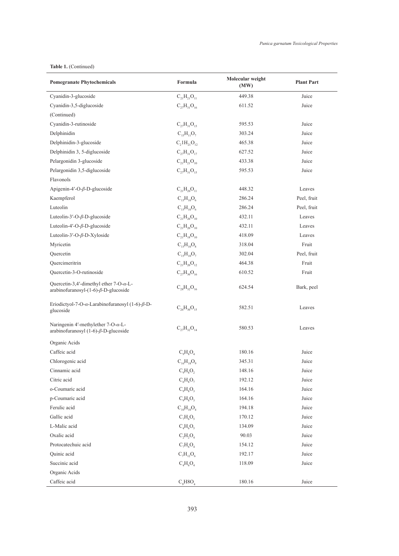# **Table 1.** (Continued)

| <b>Pomegranate Phytochemicals</b>                                                                      | Formula              | Molecular weight<br>(MW) | <b>Plant Part</b> |
|--------------------------------------------------------------------------------------------------------|----------------------|--------------------------|-------------------|
| Cyanidin-3-glucoside                                                                                   | $C_{21}H_{21}O_{11}$ | 449.38                   | Juice             |
| Cyanidin-3,5-diglucoside                                                                               | $C_{27}H_{31}O_{16}$ | 611.52                   | Juice             |
| (Continued)                                                                                            |                      |                          |                   |
| Cyanidin-3-rutinoside                                                                                  | $C_{27}H_{31}O_{15}$ | 595.53                   | Juice             |
| Delphinidin                                                                                            | $C_{15}H_{11}O_7$    | 303.24                   | Juice             |
| Delphinidin-3-glucoside                                                                                | $C_2 1H_{21}O_{12}$  | 465.38                   | Juice             |
| Delphinidin 3, 5-diglucoside                                                                           | $C_{27}H_{31}O_{17}$ | 627.52                   | Juice             |
| Pelargonidin 3-glucoside                                                                               | $C_{21}H_{21}O_{10}$ | 433.38                   | Juice             |
| Pelargonidin 3,5-diglucoside                                                                           | $C_{27}H_{31}O_{15}$ | 595.53                   | Juice             |
| Flavonols                                                                                              |                      |                          |                   |
| Apigenin-4'-O- $\beta$ -D-glucoside                                                                    | $C_{21}H_{20}O_{11}$ | 448.32                   | Leaves            |
| Kaempferol                                                                                             | $C_{15}H_{10}O_6$    | 286.24                   | Peel, fruit       |
| Luteolin                                                                                               | $C_{15}H_{10}O_6$    | 286.24                   | Peel, fruit       |
| Luteolin-3'-O- $\beta$ -D-glucoside                                                                    | $C_{21}H_{20}O_{10}$ | 432.11                   | Leaves            |
| Luteolin-4'-O- $\beta$ -D-glucoside                                                                    | $C_{21}H_{20}O_{10}$ | 432.11                   | Leaves            |
| Luteolin-3'-O-ß-D-Xyloside                                                                             | $C_{21}H_{18}O_{10}$ | 418.09                   | Leaves            |
| Myricetin                                                                                              | $C_{15}H_{10}O_8$    | 318.04                   | Fruit             |
| Ouercetin                                                                                              | $C_{15}H_{10}O_7$    | 302.04                   | Peel, fruit       |
| Quercimeritrin                                                                                         | $C_{21}H_{20}O_{12}$ | 464.38                   | Fruit             |
| Quercetin-3-O-rutinoside                                                                               | $C_{27}H_{30}O_{16}$ | 610.52                   | Fruit             |
| Quercetin-3,4'-dimethyl ether $7$ -O- $\alpha$ -L-<br>arabinofuranosyl- $(1-6)$ - $\beta$ -D-glucoside | $C_{28}H_{32}O_{16}$ | 624.54                   | Bark, peel        |
| Eriodictyol-7-O- $\alpha$ -Larabinofuranosyl (1-6)- $\beta$ -D-<br>glucoside                           | $C_{26}H_{30}O_{15}$ | 582.51                   | Leaves            |
| Naringenin 4'-methylether $7$ -O- $\alpha$ -L-<br>arabinofuranosyl $(1-6)$ - $\beta$ -D-glucoside      | $C_{27}H_{32}O_{14}$ | 580.53                   | Leaves            |
| Organic Acids                                                                                          |                      |                          |                   |
| Caffeic acid                                                                                           | $C_9H_8O_4$          | 180.16                   | Juice             |
| Chlorogenic acid                                                                                       | $C_{16}H_{18}O_9$    | 345.31                   | Juice             |
| Cinnamic acid                                                                                          | $C_9H_8O_2$          | 148.16                   | Juice             |
| Citric acid                                                                                            | $C_6H_8O_7$          | 192.12                   | Juice             |
| o-Coumaric acid                                                                                        | $C_qH_qO_q$          | 164.16                   | Juice             |
| p-Coumaric acid                                                                                        | $C_qH_qO_q$          | 164.16                   | Juice             |
| Ferulic acid                                                                                           | $C_{10}H_{10}O_4$    | 194.18                   | Juice             |
| Gallic acid                                                                                            | $C_7H_6O_5$          | 170.12                   | Juice             |
| L-Malic acid                                                                                           | $C_4H_6O_5$          | 134.09                   | Juice             |
| Oxalic acid                                                                                            | $C_2H_2O_4$          | 90.03                    | Juice             |
| Protocatechuic acid                                                                                    | $C_7H_6O_4$          | 154.12                   | Juice             |
| Quinic acid                                                                                            | $C_7H_{12}O_6$       | 192.17                   | Juice             |
| Succinic acid                                                                                          | $C_4H_6O_4$          | 118.09                   | Juice             |
| Organic Acids                                                                                          |                      |                          |                   |
| Caffeic acid                                                                                           | $C_qH8O_4$           | 180.16                   | Juice             |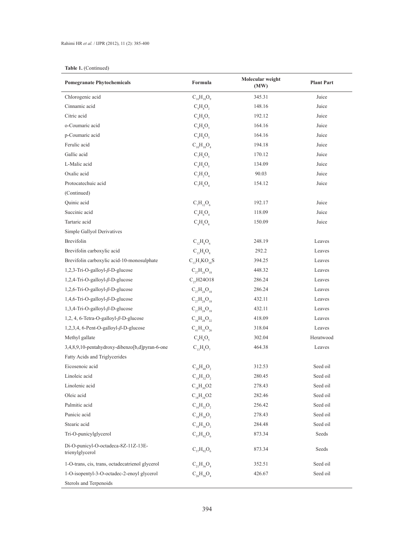# **Table 1.** (Continued)

| <b>Pomegranate Phytochemicals</b>                      | Formula               | Molecular weight<br>(MW) | <b>Plant Part</b> |
|--------------------------------------------------------|-----------------------|--------------------------|-------------------|
| Chlorogenic acid                                       | $C_{16}H_{18}O_9$     | 345.31                   | Juice             |
| Cinnamic acid                                          | $C_9H_8O_2$           | 148.16                   | Juice             |
| Citric acid                                            | $C_6H_8O_7$           | 192.12                   | Juice             |
| o-Coumaric acid                                        | $C_9H_8O_3$           | 164.16                   | Juice             |
| p-Coumaric acid                                        | $C_qH_8O_3$           | 164.16                   | Juice             |
| Ferulic acid                                           | $C_{10}H_{10}O_4$     | 194.18                   | Juice             |
| Gallic acid                                            | $C_7H_6O_5$           | 170.12                   | Juice             |
| L-Malic acid                                           | $C_4H_6O_5$           | 134.09                   | Juice             |
| Oxalic acid                                            | $C_2H_2O_4$           | 90.03                    | Juice             |
| Protocatechuic acid                                    | $C_7H_6O_4$           | 154.12                   | Juice             |
| (Continued)                                            |                       |                          |                   |
| Quinic acid                                            | $C_7H_{12}O_6$        | 192.17                   | Juice             |
| Succinic acid                                          | $C_4H_6O_4$           | 118.09                   | Juice             |
| Tartaric acid                                          | $C_4H_6O_6$           | 150.09                   | Juice             |
| Simple Gallyol Derivatives                             |                       |                          |                   |
| Brevifolin                                             | $C_{12}H_8O_6$        | 248.19                   | Leaves            |
| Brevifolin carboxylic acid                             | $C_{13}H_8O_8$        | 292.2                    | Leaves            |
| Brevifolin carboxylic acid-10-monosulphate             | $C_{13}H_{7}KO_{10}S$ | 394.25                   | Leaves            |
| 1,2,3-Tri-O-galloyl- $\beta$ -D-glucose                | $C_{27}H_{24}O_{18}$  | 448.32                   | Leaves            |
| $1,2,4$ -Tri-O-galloyl- $\beta$ -D-glucose             | $C_{27}H24O18$        | 286.24                   | Leaves            |
| 1,2,6-Tri-O-galloyl- $\beta$ -D-glucose                | $C_{27}H_{24}O_{18}$  | 286.24                   | Leaves            |
| $1,4,6$ -Tri-O-galloyl- $\beta$ -D-glucose             | $C_{27}H_{24}O_{18}$  | 432.11                   | Leaves            |
| $1,3,4$ -Tri-O-galloyl- $\beta$ -D-glucose             | $C_{27}H_{24}O_{18}$  | 432.11                   | Leaves            |
| 1,2, 4, 6-Tetra-O-galloyl- $\beta$ -D-glucose          | $C_{34}H_{28}O_{22}$  | 418.09                   | Leaves            |
| 1,2,3,4, 6-Pent-O-galloyl- $\beta$ -D-glucose          | $C_{41}H_{32}O_{26}$  | 318.04                   | Leaves            |
| Methyl gallate                                         | $C_{8}H_{8}O_{5}$     | 302.04                   | Heratwood         |
| 3,4,8,9,10-pentahydroxy-dibenzo[b,d]pyran-6-one        | $C_{13}H_8O_7$        | 464.38                   | Leaves            |
| Fatty Acids and Triglycerides                          |                       |                          |                   |
| Eicosenoic acid                                        | $C_{20}H_{40}O_2$     | 312.53                   | Seed oil          |
| Linoleic acid                                          | $C_{18}H_{32}O_2$     | 280.45                   | Seed oil          |
| Linolenic acid                                         | $C_{18}H_{30}O2$      | 278.43                   | Seed oil          |
| Oleic acid                                             | $C_{18}H_{34}O2$      | 282.46                   | Seed oil          |
| Palmitic acid                                          | $C_{16}H_{32}O_2$     | 256.42                   | Seed oil          |
| Punicic acid                                           | $C_{18}H_{30}O_2$     | 278.43                   | Seed oil          |
| Stearic acid                                           | $C_{18}H_{36}O_2$     | 284.48                   | Seed oil          |
| Tri-O-punicylglycerol                                  | $C_{57}H_{92}O_6$     | 873.34                   | Seeds             |
| Di-O-punicyl-O-octadeca-8Z-11Z-13E-<br>trienylglycerol | $C_{57}H_{92}O_6$     | 873.34                   | Seeds             |
| 1-O-trans, cis, trans, octadecatrienol glycerol        | $C_{21}H_{36}O_4$     | 352.51                   | Seed oil          |
| 1-O-isopentyl-3-O-octadec-2-enoyl glycerol             | $C_{26}H_{50}O_4$     | 426.67                   | Seed oil          |
| Sterols and Terpenoids                                 |                       |                          |                   |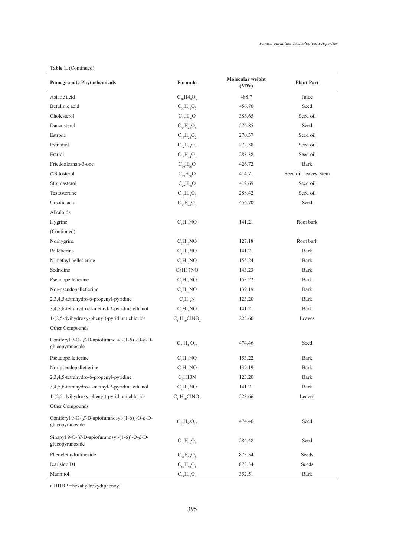## **Table 1.** (Continued)

| <b>Pomegranate Phytochemicals</b>                                                 | Formula                           | Molecular weight<br>(MW) | <b>Plant Part</b>      |
|-----------------------------------------------------------------------------------|-----------------------------------|--------------------------|------------------------|
| Asiatic acid                                                                      | $C_{30}H4_8O_5$                   | 488.7                    | Juice                  |
| Betulinic acid                                                                    | $C_{30}H_{48}O_3$                 | 456.70                   | Seed                   |
| Cholesterol                                                                       | $C_{27}H_{46}O$                   | 386.65                   | Seed oil               |
| Daucosterol                                                                       | $C_{35}H_{60}O_6$                 | 576.85                   | Seed                   |
| Estrone                                                                           | $C_{18}H_{22}O_2$                 | 270.37                   | Seed oil               |
| Estradiol                                                                         | $C_{18}H_{24}O_2$                 | 272.38                   | Seed oil               |
| Estriol                                                                           | $C_{18}H_{24}O_3$                 | 288.38                   | Seed oil               |
| Friedooleanan-3-one                                                               | $C_{30}H_{50}O$                   | 426.72                   | Bark                   |
| $\beta$ -Sitosterol                                                               | $C_{29}H_{50}O$                   | 414.71                   | Seed oil, leaves, stem |
| Stigmasterol                                                                      | $C_{29}H_{48}O$                   | 412.69                   | Seed oil               |
| Testosterone                                                                      | $C_{19}H_{28}O_2$                 | 288.42                   | Seed oil               |
| Ursolic acid                                                                      | $C_{30}H_{48}O_3$                 | 456.70                   | Seed                   |
| Alkaloids                                                                         |                                   |                          |                        |
| Hygrine                                                                           | C <sub>8</sub> H <sub>15</sub> NO | 141.21                   | Root bark              |
| (Continued)                                                                       |                                   |                          |                        |
| Norhygrine                                                                        | $C_7H_{13}NO$                     | 127.18                   | Root bark              |
| Pelletierine                                                                      | $C_8H_{15}NO$                     | 141.21                   | Bark                   |
| N-methyl pelletierine                                                             | $C_9H_{17}NO$                     | 155.24                   | <b>Bark</b>            |
| Sedridine                                                                         | C8H17NO                           | 143.23                   | Bark                   |
| Pseudopelletierine                                                                | $C_9H_{15}NO$                     | 153.22                   | Bark                   |
| Nor-pseudopelletierine                                                            | $C_8H_{13}NO$                     | 139.19                   | <b>Bark</b>            |
| 2,3,4,5-tetrahydro-6-propenyl-pyridine                                            | $C_{8}H_{13}N$                    | 123.20                   | Bark                   |
| 3,4,5,6-tetrahydro-a-methyl-2-pyridine ethanol                                    | C <sub>8</sub> H <sub>15</sub> NO | 141.21                   | <b>Bark</b>            |
| 1-(2,5-dyihydroxy-phenyl)-pyridium chloride                                       | $C_{11}H_{10}CINO_2$              | 223.66                   | Leaves                 |
| Other Compounds                                                                   |                                   |                          |                        |
| Coniferyl 9-O-[β-D-apiofuranosyl-(1-6)]-O-β-D-<br>glucopyranoside                 | $C_{21}H_{30}O_{12}$              | 474.46                   | Seed                   |
| Pseudopelletierine                                                                | $C_9H_{15}NO$                     | 153.22                   | <b>Bark</b>            |
| Nor-pseudopelletierine                                                            | $C_8H_{13}NO$                     | 139.19                   | Bark                   |
| 2,3,4,5-tetrahydro-6-propenyl-pyridine                                            | $C_{\rm s}$ H13N                  | 123.20                   | Bark                   |
| 3,4,5,6-tetrahydro-a-methyl-2-pyridine ethanol                                    | C <sub>8</sub> H <sub>15</sub> NO | 141.21                   | <b>Bark</b>            |
| 1-(2,5-dyihydroxy-phenyl)-pyridium chloride                                       | $C_{11}H_{10}CINO_2$              | 223.66                   | Leaves                 |
| Other Compounds                                                                   |                                   |                          |                        |
| Coniferyl 9-O-[ $\beta$ -D-apiofuranosyl-(1-6)]-O- $\beta$ -D-<br>glucopyranoside | $C_{21}H_{30}O_{12}$              | 474.46                   | Seed                   |
| Sinapyl 9-O-[ $\beta$ -D-apiofuranosyl-(1-6)]-O- $\beta$ -D-<br>glucopyranoside   | $C_{18}H_{36}O_2$                 | 284.48                   | Seed                   |
| Phenylethylrutinoside                                                             | $C_{57}H_{92}O_6$                 | 873.34                   | Seeds                  |
| Icariside D1                                                                      | $C_{57}H_{92}O_6$                 | 873.34                   | Seeds                  |
| Mannitol                                                                          | $C_{21}H_{36}O_4$                 | 352.51                   | Bark                   |

a HHDP =hexahydroxydiphenoyl.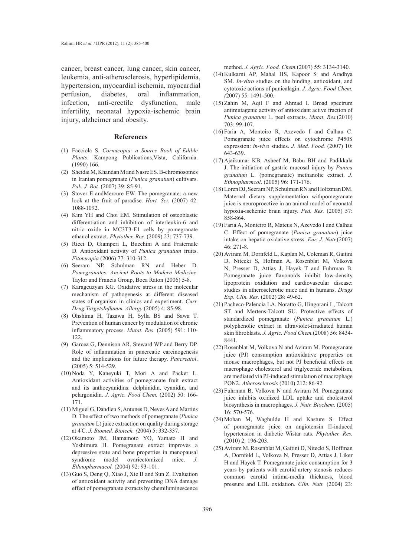cancer, breast cancer, lung cancer, skin cancer, leukemia, anti-atherosclerosis, hyperlipidemia, hypertension, myocardial ischemia, myocardial perfusion, diabetes, oral inflammation, infection, anti-erectile dysfunction, male infertility, neonatal hypoxia-ischemic brain injury, alzheimer and obesity.

#### **References**

- Facciola S. *Cornucopia: a Source Book of Edible*  (1) *Plants*. Kampong Publications,Vista, California. (1990) 166.
- (2) Sheidai M, Khandan M and Nasre ES. B-chromosomes in Iranian pomegranate (*Punica granatum*) cultivars. *Pak. J. Bot.* (2007) 39: 85-91.
- $(3)$  Stover E andMercure EW. The pomegranate: a new look at the fruit of paradise. *Hort. Sci.* (2007) 42: 1088-1092.
- (4) Kim YH and Choi EM. Stimulation of osteoblastic differentiation and inhibition of interleukin-6 and nitric oxide in MC3T3-E1 cells by pomegranate ethanol extract. *Phytother. Res.* (2009) 23: 737-739.
- (5) Ricci D, Giamperi L, Bucchini A and Fraternale D. Antioxidant activity of *Punica granatum* fruits. *Fitoterapia* (2006) 77: 310-312.
- (6) Seeram NP, Schulman RN and Heber D. *Pomegranates: Ancient Roots to Modern Medicine.* Taylor and Francis Group, Boca Raton (2006) 5-8.
- (7) Karageuzyan KG. Oxidative stress in the molecular mechanism of pathogenesis at different diseased states of organism in clinics and experiment. *Curr. Drug TargetsInflamm. Allergy* (2005) 4: 85-98.
- Ohshima H, Tazawa H, Sylla BS and Sawa T. (8) Prevention of human cancer by modulation of chronic inflammatory process. *Mutat. Res.* (2005) 591: 110- 122.
- (9) Garcea G, Dennison AR, Steward WP and Berry DP. Role of inflammation in pancreatic carcinogenesis and the implications for future therapy. *Pancreatol*. (2005) 5: 514-529.
- $(10)$  Noda Y, Kaneyuki T, Mori A and Packer L. Antioxidant activities of pomegranate fruit extract and its anthocyanidins: delphinidin, cyanidin, and pelargonidin. *J. Agric. Food Chem.* (2002) 50: 166- 171.
- (11) Miguel G, Dandlen S, Antunes D, Neves A and Martins D. The effect of two methods of pomegranate (*Punica granatum* L) juice extraction on quality during storage at 4˚ C. *J. Biomed. Biotech. (*2004) 5: 332-337.
- (12) Okamoto JM, Hamamoto YO, Yamato H and Yoshimura H. Pomegranate extract improves a depressive state and bone properties in menopausal syndrome model ovariectomized mice. *J. Ethnopharmacol.* (2004) 92: 93-101.
- $(13)$  Guo S, Deng Q, Xiao J, Xie B and Sun Z. Evaluation of antioxidant activity and preventing DNA damage effect of pomegranate extracts by chemiluminescence

method. *J. Agric. Food. Chem.*(2007) 55: 3134-3140.

- (14) Kulkarni AP, Mahal HS, Kapoor S and Aradhya SM. *In-vitro* studies on the binding, antioxidant, and cytotoxic actions of punicalagin. *J. Agric. Food Chem. (*2007) 55: 1491-500.
- $(15)$  Zahin M, Aqil F and Ahmad I. Broad spectrum antimutagenic activity of antioxidant active fraction of *Punica granatum* L. peel extracts. *Mutat. Res.*(2010) 703: 99-107.
- $(16)$  Faria A, Monteiro R, Azevedo I and Calhau C. Pomegranate juice effects on cytochrome P450S expression: *in-vivo* studies. *J. Med. Food.* (2007) 10: 643-639.
- (17) Ajaikumar KB, Asheef M, Babu BH and Padikkala J. The initiation of gastric mucosal injury by *Punica granatum* L. (pomegranate) methanolic extract. *J. Ethnopharmcol*. (2005) 96: 171-176.
- Loren DJ, Seeram NP, Schulman RN and Holtzman DM. (18) Maternal dietary supplementation withpomegranate juice is neuroproective in an animal model of neonatal hypoxia-ischemic brain injury. *Ped. Res.* (2005) 57: 858-864.
- Faria A, Monteiro R, Mateus N, Azevedo I and Calhau (19) C. Effect of pomegranate (*Punica granatum*) juice intake on hepatic oxidative stress. *Eur. J. Nutr.*(2007) 46: 271-8.
- (20) Aviram M, Dornfeld L, Kaplan M, Coleman R, Gaitini D, Nitecki S, Hofman A, Rosenblat M, Volkova N, Presser D, Attias J, Hayek T and Fuhrman B. Pomegranate juice flavonoids inhibit low-density lipoprotein oxidation and cardiovascular disease: studies in atherosclerotic mice and in humans. *Drugs Exp. Clin. Res.* (2002) 28: 49-62.
- Pacheco-Palencia LA, Noratto G, Hingorani L, Talcott (21) ST and Mertens-Talcott SU. Protective effects of standardized pomegranate (*Punica granatum* L.) polyphenolic extract in ultraviolet-irradiated human skin fibroblasts. *J. Agric. Food Chem.*(2008) 56: 8434- 8441.
- $(22)$  Rosenblat M, Volkova N and Aviram M. Pomegranate juice (PJ) consumption antioxidative properties on mouse macrophages, but not PJ beneficial effects on macrophage cholesterol and triglyceride metabolism, are mediated via PJ-induced stimulation of macrophage PON2. *Atherosclerosis* (2010) 212: 86-92.
- $(23)$  Fuhrman B, Volkova N and Aviram M. Pomegranate juice inhibits oxidized LDL uptake and cholesterol biosynthesis in macrophages. *J. Nutr. Biochem.* (2005) 16: 570-576.
- (24) Mohan M, Waghulde H and Kasture S. Effect of pomegranate juice on angiotensin II-induced hypertension in diabetic Wistar rats. *Phytother. Res.* (2010) 2: 196-203.
- (25) Aviram M, Rosenblat M, Gaitini D, Nitecki S, Hoffman A, Dornfeld L, Volkova N, Presser D, Attias J, Liker H and Hayek T. Pomegranate juice consumption for 3 years by patients with carotid artery stenosis reduces common carotid intima-media thickness, blood pressure and LDL oxidation. *Clin. Nutr.* (2004) 23: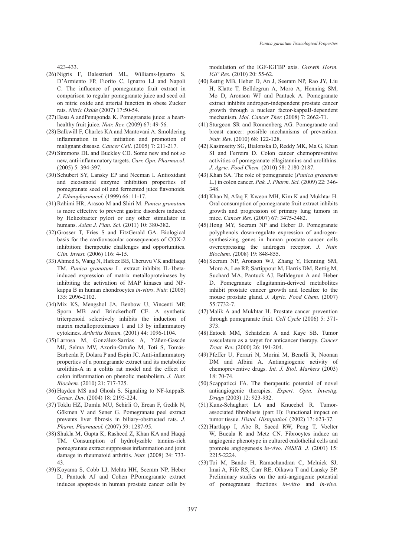423-433.

- (26) Nigris F, Balestrieri ML, Williams-Ignarro S, D'Armiento FP, Fiorito C, Ignarro LJ and Napoli C. The influence of pomegranate fruit extract in comparison to regular pomegranate juice and seed oil on nitric oxide and arterial function in obese Zucker rats. *Nitric Oxide* (2007) 17:50-54.
- (27) Basu A andPenugonda K. Pomegranate juice: a hearthealthy fruit juice. *Nutr. Rev.* (2009) 67: 49-56.
- (28) Balkwill F, Charles KA and Mantovani A. Smoldering inflammation in the initiation and promotion of malignant disease. *Cancer Cell*. (2005) 7: 211-217.
- (29) Simmons DL and Buckley CD. Some new and not so new, anti-inflammatory targets. *Curr. Opn. Pharmacol*. (2005) 5: 394-397.
- (30) Schubert SY, Lansky EP and Neeman I. Antioxidant and eicosanoid enzyme inhibition properties of pomegranate seed oil and fermented juice flavonoids. *J. Ethnopharmacol.* (1999) 66: 11-17.
- (31) Rahimi HR, Arasoo M and Shiri M. Punica granatum is more effective to prevent gastric disorders induced by Helicobacter pylori or any other stimulator in humans. *Asian J. Plan. Sci.* (2011) 10: 380-382.
- (32) Grosser T, Fries S and FitzGerald GA. Biological basis for the cardiovascular consequences of COX-2 inhibition: therapeutic challenges and opportunities. *Clin. Invest.* (2006) 116: 4-15.
- (33) Ahmed S, Wang N, Hafeez BB, Cheruvu VK andHaqqi TM. *Punica granatum* L. extract inhibits IL-1betainduced expression of matrix metalloproteinases by inhibiting the activation of MAP kinases and NFkappa B in human chondrocytes *in-vitro*. *Nutr.* (2005) 135: 2096-2102.
- (34) Mix KS, Mengshol JA, Benbow U, Vincenti MP, Sporn MB and Brinckerhoff CE. A synthetic triterpenoid selectively inhibits the induction of matrix metalloproteinases 1 and 13 by inflammatory cytokines. *Arthritis Rheum.* (2001) 44: 1096-1104.
- Larrosa M, González-Sarrías A, Yáñez-Gascón (35) MJ, Selma MV, Azorín-Ortuño M, Toti S, Tomás-Barberán F, Dolara P and Espín JC. Anti-inflammatory properties of a pomegranate extract and its metabolite urolithin-A in a colitis rat model and the effect of colon inflammation on phenolic metabolism. *J. Nutr. Biochem.* (2010) 21: 717-725.
- $(36)$  Hayden MS and Ghosh S. Signaling to NF-kappaB. *Genes. Dev.* (2004) 18: 2195-224.
- (37) Toklu HZ, Dumlu MU, Sehirli O, Ercan F, Gedik N, Gökmen V and Sener G. Pomegranate peel extract prevents liver fibrosis in biliary-obstructed rats. *J. Pharm. Pharmacol.* (2007) 59: 1287-95.
- $(38)$  Shukla M, Gupta K, Rasheed Z, Khan KA and Haqqi TM. Consumption of hydrolyzable tannins-rich pomegranate extract suppresses inflammation and joint damage in rheumatoid arthritis. *Nutr.* (2008) 24: 733-43.
- (39) Koyama S, Cobb LJ, Mehta HH, Seeram NP, Heber D, Pantuck AJ and Cohen P.Pomegranate extract induces apoptosis in human prostate cancer cells by

modulation of the IGF-IGFBP axis. *Growth Horm. IGF Res.* (2010) 20: 55-62.

- (40) Rettig MB, Heber D, An J, Seeram NP, Rao JY, Liu H, Klatte T, Belldegrun A, Moro A, Henning SM, Mo D, Aronson WJ and Pantuck A. Pomegranate extract inhibits androgen-independent prostate cancer growth through a nuclear factor-kappaB-dependent mechanism. *Mol. Cancer Ther.* (2008) 7: 2662-71.
- (41) Sturgeon SR and Ronnenberg AG. Pomegranate and breast cancer: possible mechanisms of prevention. *Nutr. Rev.* (2010) 68: 122-128.
- (42) Kasimsetty SG, Bialonska D, Reddy MK, Ma G, Khan SI and Ferreira D. Colon cancer chemopreventive activities of pomegranate ellagitannins and urolithins. *J. Agric. Food Chem.* (2010) 58: 2180-2187.
- Khan SA. The role of pomegranate (*Punica granatum* (43) L.) in colon cancer. *Pak. J. Pharm. Sci.* (2009) 22: 346- 348.
- $(44)$  Khan N, Afaq F, Kweon MH, Kim K and Mukhtar H. Oral consumption of pomegranate fruit extract inhibits growth and progression of primary lung tumors in mice. *Cancer Res.* (2007) 67: 3475-3482.
- (45) Hong MY, Seeram NP and Heber D. Pomegranate polyphenols down-regulate expression of androgensynthesizing genes in human prostate cancer cells overexpressing the androgen receptor. *J. Nutr. Biochem. (*2008) 19: 848-855.
- (46) Seeram NP, Aronson WJ, Zhang Y, Henning SM, Moro A, Lee RP, Sartippour M, Harris DM, Rettig M, Suchard MA, Pantuck AJ, Belldegrun A and Heber D. Pomegranate ellagitannin-derived metabolites inhibit prostate cancer growth and localize to the mouse prostate gland. *J. Agric. Food Chem.* (2007) 55:7732-7.
- (47) Malik A and Mukhtar H. Prostate cancer prevention through pomegranate fruit. *Cell Cycle* (2006) 5: 371- 373.
- (48) Eatock MM, Schatzlein A and Kaye SB. Tumor vasculature as a target for anticancer therapy. *Cancer Treat. Rev.* (2000) 26: 191-204.
- (49) Pfeffer U, Ferrari N, Morini M, Benelli R, Noonan DM and Albini A. Antiangiogenic activity of chemopreventive drugs. *Int. J. Biol. Markers* (2003)  $18:70-74$
- (50) Scappaticci FA. The therapeutic potential of novel antiangiogenic therapies. *Expert. Opin. Investig. Drugs* (2003) 12: 923-932.
- (51) Kunz-Schughart LA and Knuechel R. Tumorassociated fibroblasts (part II): Functional impact on tumor tissue. *Histol. Histopathol.* (2002) 17: 623-37.
- (52) Hartlapp I, Abe R, Saeed RW, Peng T, Voelter W, Bucala R and Metz CN. Fibrocytes induce an angiogenic phenotype in cultured endothelial cells and promote angiogenesis *in-vivo*. *FASEB. J.* (2001) 15: 2215-2224.
- (53) Toi M, Bando H, Ramachandran C, Melnick SJ, Imai A, Fife RS, Carr RE, Oikawa T and Lansky EP. Preliminary studies on the anti-angiogenic potential of pomegranate fractions *in-vitro* and *in-vivo.*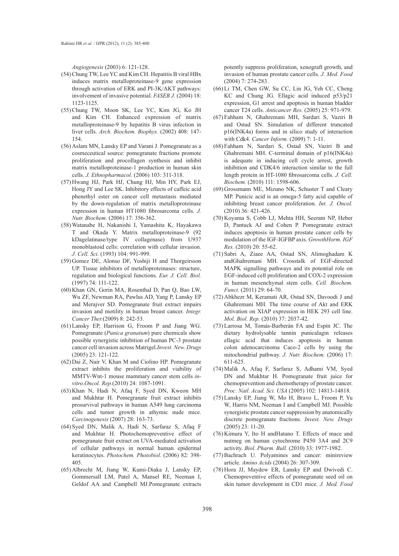*Angiogenesis* (2003) 6: 121-128.

- (54) Chung TW, Lee YC and Kim CH. Hepatitis B viral HBx induces matrix metalloproteinase-9 gene expression through activation of ERK and PI-3K/AKT pathways: involvement of invasive potential. *FASEB J.* (2004) 18: 1123-1125.
- (55) Chung TW, Moon SK, Lee YC, Kim JG, Ko JH and Kim CH. Enhanced expression of matrix metalloproteinase-9 by hepatitis B virus infection in liver cells. *Arch. Biochem. Biophys.* (2002) 408: 147- 154.
- (56) Aslam MN, Lansky EP and Varani J. Pomegranate as a cosmeceutical source: pomegranate fractions promote proliferation and procollagen synthesis and inhibit matrix metalloproteinase-1 production in human skin cells. *J. Ethnopharmacol*. (2006) 103: 311-318.
- (57) Hwang HJ, Park HJ, Chung HJ, Min HY, Park EJ, Hong JY and Lee SK. Inhibitory effects of caffeic acid phenethyl ester on cancer cell metastasis mediated by the down-regulation of matrix metalloproteinase expression in human HT1080 fibrosarcoma cells. *J. Nutr. Biochem.* (2006) 17: 356-362.
- Watanabe H, Nakanishi I, Yamashita K, Hayakawa (58) T and Okada Y. Matrix metalloproteinase-9 (92 kDagelatinase/type IV collagenase) from U937 monoblastoid cells: correlation with cellular invasion. *J. Cell. Sci.* (1993) 104: 991-999.
- (59) Gomez DE, Alonso DF, Yoshiji H and Thorgeirsson UP. Tissue inhibitors of metalloproteinases: structure, regulation and biological functions. *Eur. J. Cell. Biol.* (1997) 74: 111-122.
- (60) Khan GN, Gorin MA, Rosenthal D, Pan Q, Bao LW, Wu ZF, Newman RA, Pawlus AD, Yang P, Lansky EP and Merajver SD. Pomegranate fruit extract impairs invasion and motility in human breast cancer. *Integr. Cancer Ther.*(2009) 8: 242-53.
- Lansky EP, Harrison G, Froom P and Jiang WG. (61) Pomegranate (*Punica granatum*) pure chemicals show possible synergistic inhibition of human PC-3 prostate cancer cell invasion across Matrigel.*Invest. New. Drugs* (2005) 23: 121-122.
- (62) Dai Z, Nair V, Khan M and Ciolino HP. Pomegranate extract inhibits the proliferation and viability of MMTV-Wnt-1 mouse mammary cancer stem cells *invitro*.*Oncol. Rep.*(2010) 24: 1087-1091.
- (63) Khan N, Hadi N, Afaq F, Syed DN, Kweon MH and Mukhtar H. Pomegranate fruit extract inhibits prosurvival pathways in human A549 lung carcinoma cells and tumor growth in athymic nude mice. *Carcinogenesis* (2007) 28: 163-73.
- (64) Syed DN, Malik A, Hadi N, Sarfaraz S, Afaq F and Mukhtar H. Photochemopreventive effect of pomegranate fruit extract on UVA-mediated activation of cellular pathways in normal human epidermal keratinocytes. *Photochem. Photobiol*. (2006) 82: 398- 405.
- (65) Albrecht M, Jiang W, Kumi-Diaka J, Lansky EP, Gommersall LM, Patel A, Mansel RE, Neeman I, Geldof AA and Campbell MJ.Pomegranate extracts

potently suppress proliferation, xenograft growth, and invasion of human prostate cancer cells. *J. Med. Food*  (2004) 7: 274-283.

- $(66)$  Li TM, Chen GW, Su CC, Lin JG, Yeh CC, Cheng KC and Chung JG. Ellagic acid induced p53/p21 expression, G1 arrest and apoptosis in human bladder cancer T24 cells. *Anticancer Res.* (2005) 25: 971-979.
- Fahham N, Ghahremani MH, Sardari S, Vaziri B (67) and Ostad SN. Simulation of different truncated p16(INK4a) forms and in silico study of interaction with Cdk4. *Cancer Inform.* (2009) 7: 1-11.
- Fahham N, Sardari S, Ostad SN, Vaziri B and (68) Ghahremani MH. C-terminal domain of p16(INK4a) is adequate in inducing cell cycle arrest, growth inhibition and CDK4/6 interaction similar to the full length protein in HT-1080 fibrosarcoma cells. *J. Cell. Biochem.* (2010) 111: 1598-606.
- (69) Grossmann ME, Mizuno NK, Schuster T and Cleary MP. Punicic acid is an omega-5 fatty acid capable of inhibiting breast cancer proliferation. *Int. J. Oncol.* (2010) 36: 421-426.
- (70) Koyama S, Cobb LJ, Mehta HH, Seeram NP, Heber D, Pantuck AJ and Cohen P. Pomegranate extract induces apoptosis in human prostate cancer cells by modulation of the IGF-IGFBP axis. *GrowthHorm. IGF Res.* (2010) 20: 55-62.
- (71) Sabri A, Ziaee AA, Ostad SN, Alimoghadam K andGhahremani MH. Crosstalk of EGF-directed MAPK signalling pathways and its potential role on EGF-induced cell proliferation and COX-2 expression in human mesenchymal stem cells. *Cell. Biochem. Funct.* (2011) 29: 64-70.
- (72) Abkhezr M, Keramati AR, Ostad SN, Davoodi J and Ghahremani MH. The time course of Akt and ERK activation on XIAP expression in HEK 293 cell line. *Mol. Biol. Rep.* (2010) 37: 2037-42.
- Larrosa M, Tomás-Barberán FA and Espín JC. The (73) dietary hydrolysable tannin punicalagin releases ellagic acid that induces apoptosis in human colon adenocarcinoma Caco-2 cells by using the mitochondrial pathway. *J. Nutr. Biochem.* (2006) 17: 611-625.
- Malik A, Afaq F, Sarfaraz S, Adhami VM, Syed (74) DN and Mukhtar H. Pomegranate fruit juice for chemoprevention and chemotherapy of prostate cancer. *Proc. Natl. Acad. Sci. USA* (2005) 102: 14813-14818.
- Lansky EP, Jiang W, Mo H, Bravo L, Froom P, Yu (75) W, Harris NM, Neeman I and Campbell MJ. Possible synergistic prostate cancer suppression by anatomically discrete pomegranate fractions. *Invest. New. Drugs* (2005) 23: 11-20.
- $(76)$  Kimura Y, Ito H and Hatano T. Effects of mace and nutmeg on human cytochrome P450 3A4 and 2C9 activity. *Biol. Pharm. Bull.* (2010) 33: 1977-1982.
- (77) Bachrach U. Polyamines and cancer: minireview article. *Amino Acids* (2004) 26: 307-309.
- (78) Hora JJ, Maydew ER, Lansky EP and Dwivedi C. Chemopreventive effects of pomegranate seed oil on skin tumor development in CD1 mice. *J. Med. Food*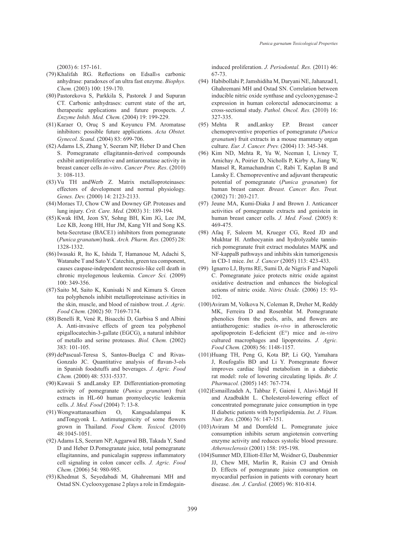(2003) 6: 157-161.

- (79) Khalifah RG. Reflections on Edsally carbonic anhydrase: paradoxes of an ultra fast enzyme. *Biophys. Chem.* (2003) 100: 159-170.
- Pastorekova S, Parkkila S, Pastorek J and Supuran (80) CT. Carbonic anhydrases: current state of the art, therapeutic applications and future prospects. *J. Enzyme Inhib. Med. Chem.* (2004) 19: 199-229.
- $(81)$  Karaer O, Oruç S and Koyuncu FM. Aromatase inhibitors: possible future applications. *Acta Obstet. Gynecol. Scand.* (2004) 83: 699-706.
- (82) Adams LS, Zhang Y, Seeram NP, Heber D and Chen S. Pomegranate ellagitannin-derived compounds exhibit antiproliferative and antiaromatase activity in breast cancer cells *in-vitro*. *Cancer Prev. Res*. (2010) 3: 108-113.
- $(83)$  Vu TH and Werb Z. Matrix metalloproteinases: effectors of development and normal physiology. *Genes. Dev.* (2000) 14: 2123-2133.
- (84) Moraes TJ, Chow CW and Downey GP. Proteases and lung injury. *Crit. Care. Med.* (2003) 31: 189-194.
- (85) Kwak HM, Jeon SY, Sohng BH, Kim JG, Lee JM, Lee KB, Jeong HH, Hur JM, Kang YH and Song KS. beta-Secretase (BACE1) inhibitors from pomegranate (*Punica granatum*) husk. *Arch. Pharm. Res.* (2005) 28: 1328-1332.
- (86) Iwasaki R, Ito K, Ishida T, Hamanoue M, Adachi S, Watanabe T and Sato Y. Catechin, green tea component, causes caspase-independent necrosis-like cell death in chronic myelogenous leukemia. *Cancer Sci.* (2009) 100: 349-356.
- (87) Saito M, Saito K, Kunisaki N and Kimura S. Green tea polyphenols inhibit metalloproteinase activities in the skin, muscle, and blood of rainbow trout. *J. Agric. Food Chem.* (2002) 50: 7169-7174.
- (88) Benelli R, Venè R, Bisacchi D, Garbisa S and Albini A. Anti-invasive effects of green tea polyphenol epigallocatechin-3-gallate (EGCG), a natural inhibitor of metallo and serine proteases. *Biol. Chem.* (2002) 383: 101-105.
- (89) dePascual-Teresa S, Santos-Buelga C and Rivas-Gonzalo JC. Quantitative analysis of flavan-3-ols in Spanish foodstuffs and beverages. *J. Agric. Food Chem.* (2000) 48: 5331-5337.
- (90) Kawaii S andLansky EP. Differentiation-promoting activity of pomegranate (*Punica granatum*) fruit extracts in HL-60 human promyelocytic leukemia cells. *J. Med. Food* (2004) 7: 13-8.
- Wongwattanasathien O, Kangsadalampai K (91) andTongyonk L. Antimutagenicity of some flowers grown in Thailand. *Food Chem. Toxicol.* (2010) 48:1045-1051.
- (92) Adams LS, Seeram NP, Aggarwal BB, Takada Y, Sand D and Heber D.Pomegranate juice, total pomegranate ellagitannins, and punicalagin suppress inflammatory cell signaling in colon cancer cells. *J. Agric. Food Chem.* (2006) 54: 980-985.
- (93) Khedmat S, Seyedabadi M, Ghahremani MH and Ostad SN. Cyclooxygenase 2 plays a role in Emdogain-

induced proliferation. *J. Periodontal. Res.* (2011) 46: 67-73.

- Habibollahi P, Jamshidiha M, Daryani NE, Jahanzad I, (94) Ghahremani MH and Ostad SN. Correlation between inducible nitric oxide synthase and cyclooxygenase-2 expression in human colorectal adenocarcinoma: a cross-sectional study. *Pathol. Oncol. Res.* (2010) 16: 327-335.
- andLanksy EP. Breast cancer chemopreventive properties of pomegranate (*Punica granatum*) fruit extracts in a mouse mammary organ culture. *Eur. J. Cancer. Prev.* (2004) 13: 345-348. (95) Mehta R
- (96) Kim ND, Mehta R, Yu W, Neeman I, Livney T, Amichay A, Poirier D, Nicholls P, Kirby A, Jiang W, Mansel R, Ramachandran C, Rabi T, Kaplan B and Lansky E. Chemopreventive and adjuvant therapeutic potential of pomegranate (*Punica granatum*) for human breast cancer. *Breast. Cancer. Res. Treat.* (2002) 71: 203-217.
- (97) Jeune MA, Kumi-Diaka J and Brown J. Anticancer activities of pomegranate extracts and genistein in human breast cancer cells. *J. Med. Food*. (2005) 8: 469-475.
- (98) Afaq F, Saleem M, Krueger CG, Reed JD and Mukhtar H. Anthocyanin and hydrolyzable tanninrich pomegranate fruit extract modulates MAPK and NF-kappaB pathways and inhibits skin tumorigenesis in CD-1 mice. *Int. J. Cancer* (2005) 113: 423-433.
- (99) Ignarro LJ, Byrns RE, Sumi D, de Nigris F and Napoli C. Pomegranate juice protects nitric oxide against oxidative destruction and enhances the biological actions of nitric oxide. *Nitric Oxide.* (2006) 15: 93- 102.
- (100) Aviram M, Volkova N, Coleman R, Dreher M, Reddy MK, Ferreira D and Rosenblat M. Pomegranate phenolics from the peels, arils, and flowers are antiatherogenic: studies *in-vivo* in atherosclerotic apolipoprotein E-deficient (E°) mice and *in-vitro* cultured macrophages and lipoproteins. *J. Agric. Food Chem.* (2008) 56: 1148-1157.
- (101) Huang TH, Peng G, Kota BP, Li GQ, Yamahara J, Roufogalis BD and Li Y. Pomegranate flower improves cardiac lipid metabolism in a diabetic rat model: role of lowering circulating lipids. *Br. J. Pharmacol.* (2005) 145: 767-774.
- Esmaillzadeh A, Tahbaz F, Gaieni I, Alavi-Majd H (102) and Azadbakht L. Cholesterol-lowering effect of concentrated pomegranate juice consumption in type II diabetic patients with hyperlipidemia. *Int. J. Vitam. Nutr. Res.* (2006) 76: 147-151.
- (103) Aviram M and Dornfeld L. Pomegranate juice consumption inhibits serum angiotensin converting enzyme activity and reduces systolic blood pressure. *Atherosclerosis* (2001) 158: 195-198.
- (104) Sumner MD, Elliott-Eller M, Weidner G, Daubenmier JJ, Chew MH, Marlin R, Raisin CJ and Ornish D. Effects of pomegranate juice consumption on myocardial perfusion in patients with coronary heart disease. *Am. J. Cardiol.* (2005) 96: 810-814.